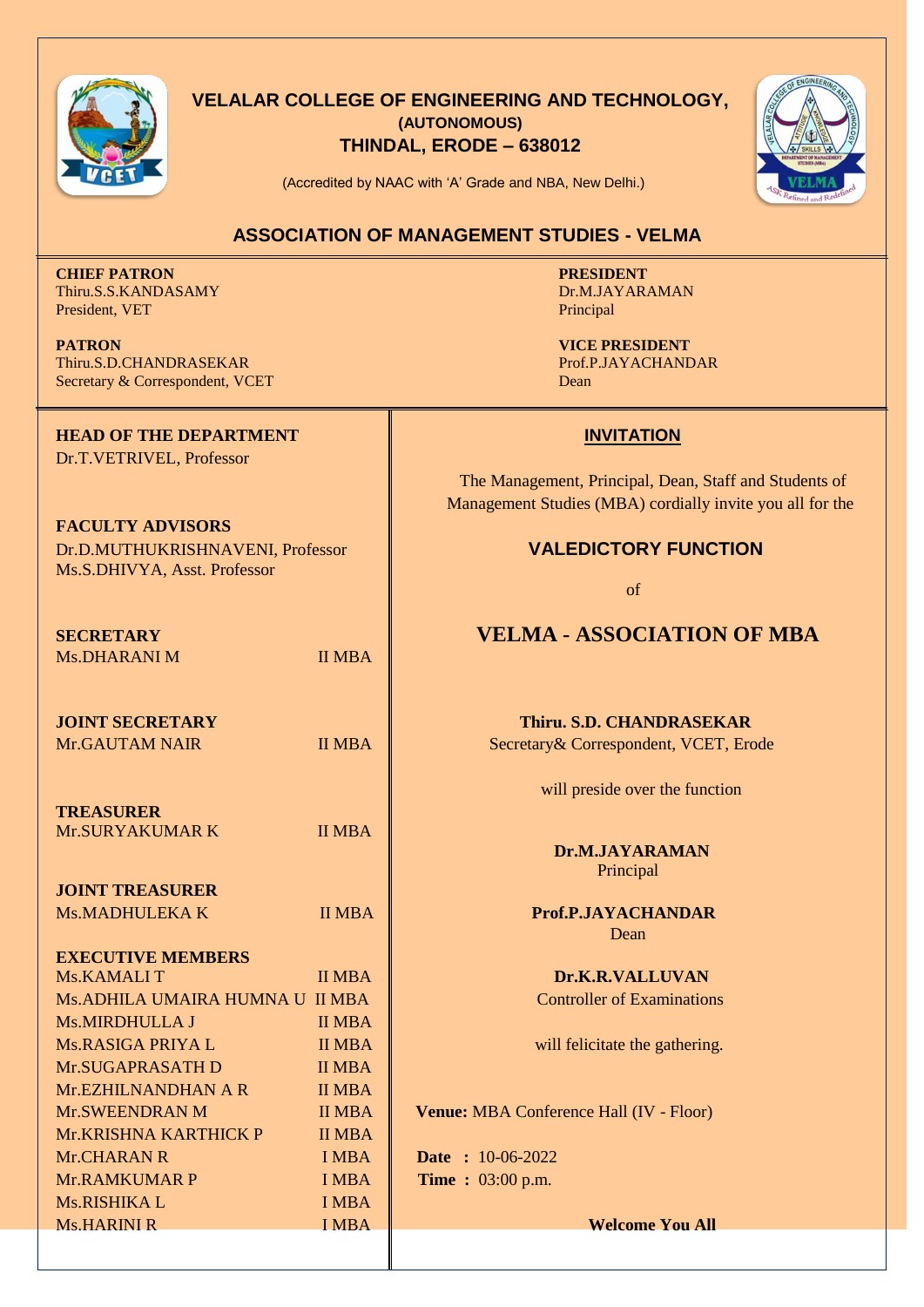

## **VELALAR COLLEGE OF ENGINEERING AND TECHNOLOGY, (AUTONOMOUS) THINDAL, ERODE – 638012**



(Accredited by NAAC with 'A' Grade and NBA, New Delhi.)

### **ASSOCIATION OF MANAGEMENT STUDIES - VELMA**

**CHIEF PATRON PRESIDENT** Thiru.S.S.KANDASAMY Dr.M.JAYARAMAN President, VET President and the president of the principal president and the principal principal principal principal principal principal principal principal principal principal principal principal principal principal prin

**PATRON**<br> **VICE PRESIDENT**<br> **VICE PRESIDENT**<br> **Prof.P.JAYACHANDRASEKAR**<br>
Prof.P.JAYACHANDAR Thiru.S.D.CHANDRASEKAR Secretary & Correspondent, VCET Dean

**HEAD OF THE DEPARTMENT INVITATION** Dr.T.VETRIVEL, Professor

**FACULTY ADVISORS** Dr.D.MUTHUKRISHNAVENI, Professor **VALEDICTORY FUNCTION** Ms.S.DHIVYA, Asst. Professor

Ms.DHARANI M II MBA

**TREASURER** Mr. SURYAKUMAR K II MBA

**JOINT TREASURER**

**EXECUTIVE MEMBERS** Ms.KAMALI T II MBA **Dr.K.R.VALLUVAN** Ms.ADHILA UMAIRA HUMNA U II MBA **Notation** and Controller of Examinations Ms.MIRDHULLA J II MBA  $MS.RASIGA PRIYA L$  II MBA will felicitate the gathering. Mr.SUGAPRASATH D II MBA Mr.EZHILNANDHAN A R II MBA Mr.KRISHNA KARTHICK P II MBA Mr.CHARAN R I MBA **Date :** 10-06-2022 Mr.RAMKUMAR P **IMBA Time :** 03:00 p.m. Ms.RISHIKA L I MBA

 The Management, Principal, Dean, Staff and Students of Management Studies (MBA) cordially invite you all for the

of

## **SECRETARY VELMA - ASSOCIATION OF MBA**

**JOINT SECRETARY Thiru. S.D. CHANDRASEKAR** Mr.GAUTAM NAIR **II MBA II MBA** Secretary & Correspondent, VCET, Erode

will preside over the function

 **Dr.M.JAYARAMAN** Principal

Ms.MADHULEKA K II MBA **Prof.P.JAYACHANDAR** Dean

Mr.SWEENDRAN M II MBA **Venue:** MBA Conference Hall (IV - Floor)

Ms.HARINI R I MBA **Welcome You All**